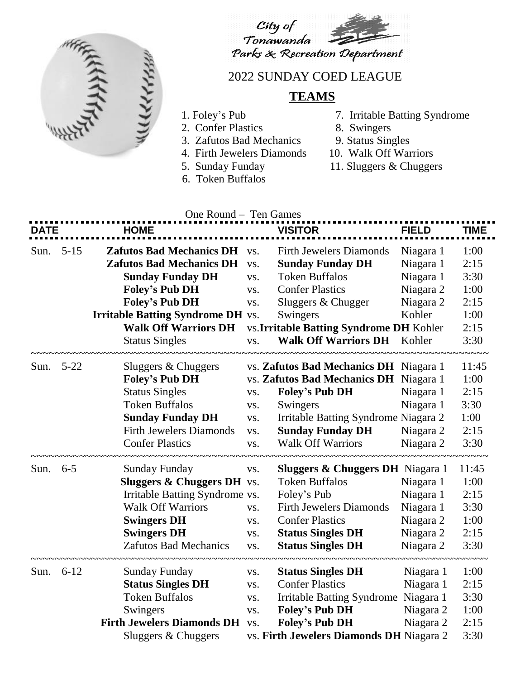



## 2022 SUNDAY COED LEAGUE

## **TEAMS**

- 
- 2. Confer Plastics 8. Swingers
- 3. Zafutos Bad Mechanics 9. Status Singles
- 4. Firth Jewelers Diamonds 10. Walk Off Warriors
- 
- 6. Token Buffalos
- 1. Foley's Pub 7. Irritable Batting Syndrome
	-
	-
	-
- 5. Sunday Funday 11. Sluggers & Chuggers

| One Round - Ten Games |          |                                                                                                                                                                                                         |                                 |                                                                                                                                                                                                                                |                                                                            |                                                       |  |  |  |  |  |
|-----------------------|----------|---------------------------------------------------------------------------------------------------------------------------------------------------------------------------------------------------------|---------------------------------|--------------------------------------------------------------------------------------------------------------------------------------------------------------------------------------------------------------------------------|----------------------------------------------------------------------------|-------------------------------------------------------|--|--|--|--|--|
| DATF                  |          | <b>HOME</b>                                                                                                                                                                                             |                                 | <b>VISITOR</b>                                                                                                                                                                                                                 | <b>FIELD</b>                                                               | <b>TIME</b>                                           |  |  |  |  |  |
| Sun.                  | $5 - 15$ | <b>Zafutos Bad Mechanics DH</b> vs.<br><b>Zafutos Bad Mechanics DH</b><br><b>Sunday Funday DH</b><br><b>Foley's Pub DH</b><br><b>Foley's Pub DH</b><br><b>Irritable Batting Syndrome DH</b> vs.         | VS.<br>VS.<br>VS.<br>VS.        | <b>Firth Jewelers Diamonds</b><br><b>Sunday Funday DH</b><br><b>Token Buffalos</b><br><b>Confer Plastics</b><br>Sluggers & Chugger<br>Swingers                                                                                 | Niagara 1<br>Niagara 1<br>Niagara 1<br>Niagara 2<br>Niagara 2<br>Kohler    | 1:00<br>2:15<br>3:30<br>1:00<br>2:15<br>1:00          |  |  |  |  |  |
|                       |          | <b>Walk Off Warriors DH</b><br><b>Status Singles</b>                                                                                                                                                    | VS.                             | vs. Irritable Batting Syndrome DH Kohler<br><b>Walk Off Warriors DH</b> Kohler                                                                                                                                                 |                                                                            | 2:15<br>3:30                                          |  |  |  |  |  |
| Sun. 5-22             |          | Sluggers & Chuggers<br><b>Foley's Pub DH</b><br><b>Status Singles</b><br><b>Token Buffalos</b><br><b>Sunday Funday DH</b><br><b>Firth Jewelers Diamonds</b><br><b>Confer Plastics</b>                   | VS.<br>VS.<br>VS.<br>VS.<br>VS. | vs. Zafutos Bad Mechanics DH Niagara 1<br>vs. Zafutos Bad Mechanics DH Niagara 1<br><b>Foley's Pub DH</b><br>Swingers<br>Irritable Batting Syndrome Niagara 2<br><b>Sunday Funday DH</b> Niagara 2<br><b>Walk Off Warriors</b> | Niagara 1<br>Niagara 1<br>Niagara 2                                        | 11:45<br>1:00<br>2:15<br>3:30<br>1:00<br>2:15<br>3:30 |  |  |  |  |  |
| Sun. 6-5              |          | <b>Sunday Funday</b><br><b>Sluggers &amp; Chuggers DH</b> vs.<br>Irritable Batting Syndrome vs.<br><b>Walk Off Warriors</b><br><b>Swingers DH</b><br><b>Swingers DH</b><br><b>Zafutos Bad Mechanics</b> | VS.<br>VS.<br>VS.<br>VS.<br>VS. | <b>Sluggers &amp; Chuggers DH</b> Niagara 1<br><b>Token Buffalos</b><br>Foley's Pub<br><b>Firth Jewelers Diamonds</b><br><b>Confer Plastics</b><br><b>Status Singles DH</b><br><b>Status Singles DH</b>                        | Niagara 1<br>Niagara 1<br>Niagara 1<br>Niagara 2<br>Niagara 2<br>Niagara 2 | 11:45<br>1:00<br>2:15<br>3:30<br>1:00<br>2:15<br>3:30 |  |  |  |  |  |
| Sun.                  | $6 - 12$ | <b>Sunday Funday</b><br><b>Status Singles DH</b><br><b>Token Buffalos</b><br>Swingers<br>Firth Jewelers Diamonds DH vs.<br>Sluggers & Chuggers                                                          | VS.<br>VS.<br>VS.<br>VS.        | <b>Status Singles DH</b><br><b>Confer Plastics</b><br>Irritable Batting Syndrome Niagara 1<br><b>Foley's Pub DH</b><br><b>Foley's Pub DH</b><br>vs. Firth Jewelers Diamonds DH Niagara 2                                       | Niagara 1<br>Niagara 1<br>Niagara 2<br>Niagara 2                           | 1:00<br>2:15<br>3:30<br>1:00<br>2:15<br>3:30          |  |  |  |  |  |